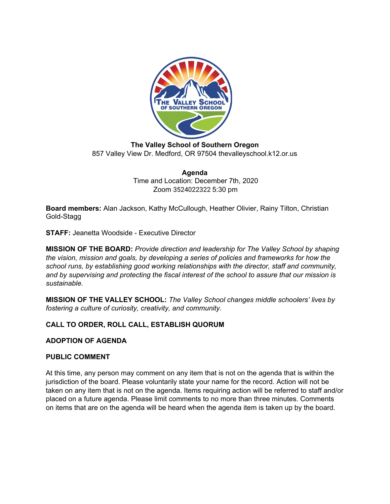

**The Valley School of Southern Oregon** 857 Valley View Dr. Medford, OR 97504 thevalleyschool.k12.or.us

> **Agenda** Time and Location: December 7th, 2020 Zoom 3524022322 5:30 pm

**Board members:** Alan Jackson, Kathy McCullough, Heather Olivier, Rainy Tilton, Christian Gold-Stagg

**STAFF:** Jeanetta Woodside - Executive Director

**MISSION OF THE BOARD:** *Provide direction and leadership for The Valley School by shaping the vision, mission and goals, by developing a series of policies and frameworks for how the school runs, by establishing good working relationships with the director, staff and community, and by supervising and protecting the fiscal interest of the school to assure that our mission is sustainable.*

**MISSION OF THE VALLEY SCHOOL:** *The Valley School changes middle schoolers' lives by fostering a culture of curiosity, creativity, and community.*

# **CALL TO ORDER, ROLL CALL, ESTABLISH QUORUM**

## **ADOPTION OF AGENDA**

### **PUBLIC COMMENT**

At this time, any person may comment on any item that is not on the agenda that is within the jurisdiction of the board. Please voluntarily state your name for the record. Action will not be taken on any item that is not on the agenda. Items requiring action will be referred to staff and/or placed on a future agenda. Please limit comments to no more than three minutes. Comments on items that are on the agenda will be heard when the agenda item is taken up by the board.